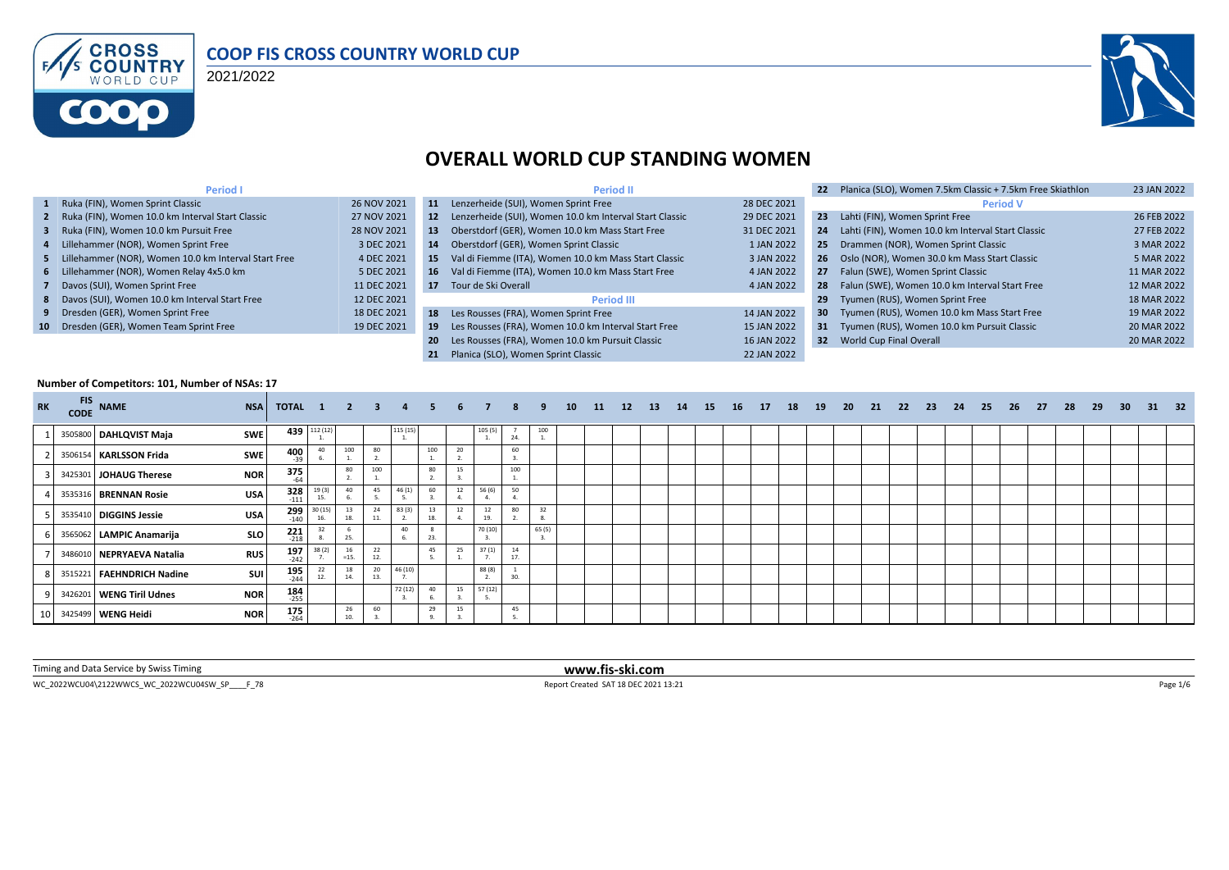

#### **COOP FIS CROSS COUNTRY WORLD CUP**

2021/2022



# **OVERALL WORLD CUP STANDING WOMEN**

| <b>Period I</b>                                        |             |           | <b>Period II</b>                                           |             |                 | Planica (SLO), Women 7.5km Classic + 7.5km Free Skiathlon | 23 JAN 2022 |
|--------------------------------------------------------|-------------|-----------|------------------------------------------------------------|-------------|-----------------|-----------------------------------------------------------|-------------|
| 1 Ruka (FIN), Women Sprint Classic                     | 26 NOV 2021 | 11        | Lenzerheide (SUI), Women Sprint Free                       | 28 DEC 2021 |                 | <b>Period V</b>                                           |             |
| 2 Ruka (FIN), Women 10.0 km Interval Start Classic     | 27 NOV 2021 |           | 12 Lenzerheide (SUI), Women 10.0 km Interval Start Classic | 29 DEC 2021 | 23              | Lahti (FIN), Women Sprint Free                            | 26 FEB 2022 |
| 3 Ruka (FIN), Women 10.0 km Pursuit Free               | 28 NOV 2021 | 13        | Oberstdorf (GER), Women 10.0 km Mass Start Free            | 31 DEC 2021 | 24              | Lahti (FIN), Women 10.0 km Interval Start Classic         | 27 FEB 2022 |
| 4 Lillehammer (NOR), Women Sprint Free                 | 3 DEC 2021  | 14        | Oberstdorf (GER), Women Sprint Classic                     | 1 JAN 2022  | 25              | Drammen (NOR), Women Sprint Classic                       | 3 MAR 2022  |
| 5 Lillehammer (NOR), Women 10.0 km Interval Start Free | 4 DEC 2021  | -15       | Val di Fiemme (ITA), Women 10.0 km Mass Start Classic      | 3 JAN 2022  |                 | 26 Oslo (NOR), Women 30.0 km Mass Start Classic           | 5 MAR 2022  |
| 6 Lillehammer (NOR), Women Relay 4x5.0 km              | 5 DEC 2021  |           | 16 Val di Fiemme (ITA), Women 10.0 km Mass Start Free      | 4 JAN 2022  | 27              | Falun (SWE), Women Sprint Classic                         | 11 MAR 2022 |
| 7 Davos (SUI), Women Sprint Free                       | 11 DEC 2021 | 17        | Tour de Ski Overall                                        | 4 JAN 2022  | 28              | Falun (SWE), Women 10.0 km Interval Start Free            | 12 MAR 2022 |
| 8 Davos (SUI), Women 10.0 km Interval Start Free       | 12 DEC 2021 |           | <b>Period III</b>                                          |             | 29              | Tyumen (RUS), Women Sprint Free                           | 18 MAR 2022 |
| 9 Dresden (GER), Women Sprint Free                     | 18 DEC 2021 |           | 18 Les Rousses (FRA), Women Sprint Free                    | 14 JAN 2022 | 30 <sub>2</sub> | Tyumen (RUS), Women 10.0 km Mass Start Free               | 19 MAR 2022 |
| 10 Dresden (GER), Women Team Sprint Free               | 19 DEC 2021 | -19       | Les Rousses (FRA), Women 10.0 km Interval Start Free       | 15 JAN 2022 |                 | 31 Tyumen (RUS), Women 10.0 km Pursuit Classic            | 20 MAR 2022 |
|                                                        |             | <b>20</b> | Les Rousses (FRA), Women 10.0 km Pursuit Classic           | 16 JAN 2022 |                 | 32 World Cup Final Overall                                | 20 MAR 2022 |
|                                                        |             |           | Planica (SLO). Women Sprint Classic                        | 22 JAN 2022 |                 |                                                           |             |

#### **Number of Competitors: 101, Number of NSAs: 17**

| <b>RK</b> | <b>CODE</b> | $FIS$ NAME                | <b>NSA</b> | TOTAL 1              |              | $2 \quad 3$  |     |          |           |    |           | 8         | -9     | 10 | 11 | 12 | <b>13</b> | 14 | 15 | 16 | 17 | 18 | 19 | - 20 | 21 | - 22 | - 23 | 24 | 25 | 26 | - 27 | 28 | 29 | 30 <sup>°</sup> | 31 | 32 |
|-----------|-------------|---------------------------|------------|----------------------|--------------|--------------|-----|----------|-----------|----|-----------|-----------|--------|----|----|----|-----------|----|----|----|----|----|----|------|----|------|------|----|----|----|------|----|----|-----------------|----|----|
|           |             | 3505800 DAHLQVIST Maja    | <b>SWE</b> |                      | 439 112 (12) |              |     | 115 (15) |           |    | 105(5)    | 24.       | 100    |    |    |    |           |    |    |    |    |    |    |      |    |      |      |    |    |    |      |    |    |                 |    |    |
|           |             | 3506154 KARLSSON Frida    | <b>SWE</b> | 400<br>$-39$         | 40           | 100          | 80  |          | 100       | 20 |           | 60        |        |    |    |    |           |    |    |    |    |    |    |      |    |      |      |    |    |    |      |    |    |                 |    |    |
|           |             | 3425301 JOHAUG Therese    | <b>NOR</b> | $375$ <sub>64</sub>  |              | 80           | 100 |          | 80        | 15 |           | 100       |        |    |    |    |           |    |    |    |    |    |    |      |    |      |      |    |    |    |      |    |    |                 |    |    |
|           |             | 3535316 BRENNAN Rosie     | <b>USA</b> | 328<br>$-111$        | 19(3)<br>15. | 40           | 45  | 46(1)    | 60        | 12 | 56 (6)    | 50<br>4.  |        |    |    |    |           |    |    |    |    |    |    |      |    |      |      |    |    |    |      |    |    |                 |    |    |
|           |             | 3535410 DIGGINS Jessie    | <b>USA</b> | 299<br>$-140$        | 30 (15)      | 13<br>18     | 24  | 83(3)    | 13<br>18. | 12 | 12<br>19. | 80        | 32     |    |    |    |           |    |    |    |    |    |    |      |    |      |      |    |    |    |      |    |    |                 |    |    |
|           |             | 3565062 LAMPIC Anamarija  | <b>SLO</b> | $221$<br>$218$       | 32           | 25.          |     | 40       |           |    | 70 (10)   |           | 65 (5) |    |    |    |           |    |    |    |    |    |    |      |    |      |      |    |    |    |      |    |    |                 |    |    |
|           |             | 3486010 NEPRYAEVA Natalia | <b>RUS</b> | 197<br>$-242$        | 38 (2)       | 16<br>$=15.$ | 22  |          | 45        | 25 | 37(1)     | 14<br>17. |        |    |    |    |           |    |    |    |    |    |    |      |    |      |      |    |    |    |      |    |    |                 |    |    |
|           |             | 3515221 FAEHNDRICH Nadine | SUI        | 195<br>$-244$        | 12.          | 18<br>14.    | 20  | 46 (10   |           |    | 88 (8)    | 30.       |        |    |    |    |           |    |    |    |    |    |    |      |    |      |      |    |    |    |      |    |    |                 |    |    |
|           |             | 3426201 WENG Tiril Udnes  | <b>NOR</b> | $184$ <sub>255</sub> |              |              |     | 72 (12)  | 40        | 15 | 57 (12)   |           |        |    |    |    |           |    |    |    |    |    |    |      |    |      |      |    |    |    |      |    |    |                 |    |    |
|           |             | 3425499 WENG Heidi        | <b>NOR</b> | 175<br>$-264$        |              | 26<br>10.    | 60  |          | 29        | 15 |           | 45        |        |    |    |    |           |    |    |    |    |    |    |      |    |      |      |    |    |    |      |    |    |                 |    |    |

Timing and Data Service by Swiss Timing **www.fis-ski.com**

WC\_2022WCU04\2122WWCS\_WC\_2022WCU04SW\_SP\_\_\_\_F\_78 <br>
Report Created SAT 18 DEC 2021 13:21 Page 1/6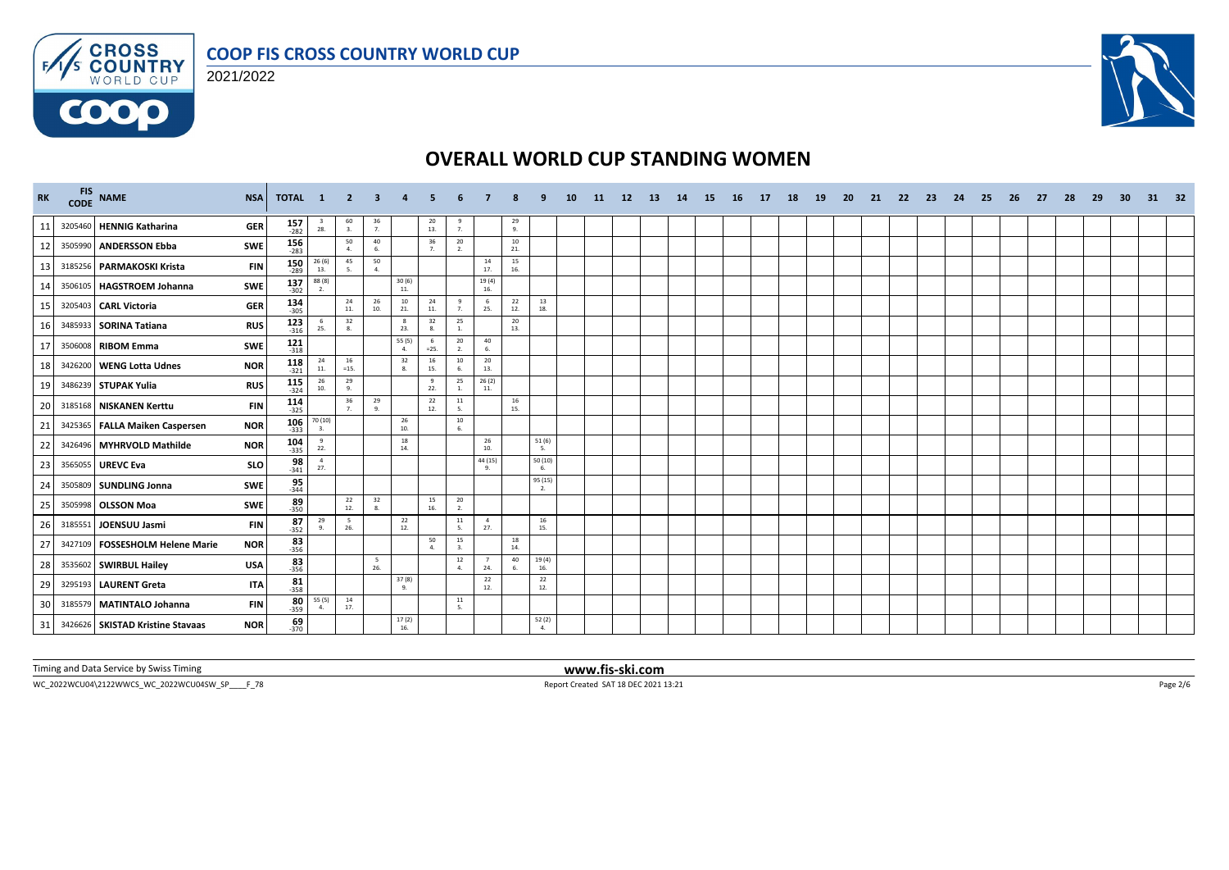





| <b>RK</b> | FIS NAME                          | <b>NSA</b>                                                         | TOTAL 1               | - 2          | 3                     |                                          |                      |                      |                        |                |                          | 10 <sup>1</sup> | 11 | <b>12</b> | <b>13</b> | 14 | -15. | <b>16</b> | <b>17</b> | 18 | <b>19</b> | -20 | 21 | -22 | 23 | 24 | -25 | 26 | 27 | 28 | 29 | 30 | 31 | - 32 |
|-----------|-----------------------------------|--------------------------------------------------------------------|-----------------------|--------------|-----------------------|------------------------------------------|----------------------|----------------------|------------------------|----------------|--------------------------|-----------------|----|-----------|-----------|----|------|-----------|-----------|----|-----------|-----|----|-----|----|----|-----|----|----|----|----|----|----|------|
| 11        | 3205460 HENNIG Katharina          | $157$<br>$-282$<br><b>GER</b>                                      | $\frac{3}{28}$ .      | 60<br>3.     | $\frac{36}{7}$        |                                          | 20<br>13.            | 9<br>7.              |                        | $\frac{29}{9}$ |                          |                 |    |           |           |    |      |           |           |    |           |     |    |     |    |    |     |    |    |    |    |    |    |      |
| 12        | 3505990 ANDERSSON Ebba            | $156$<br>$283$<br><b>SWE</b>                                       |                       | 50<br>4.     | 40<br>6.              |                                          | 36<br>7 <sub>1</sub> | 20<br>2.             |                        | 10<br>21.      |                          |                 |    |           |           |    |      |           |           |    |           |     |    |     |    |    |     |    |    |    |    |    |    |      |
| 13        | 3185256 PARMAKOSKI Krista         | $150$ <sub>-289</sub><br><b>FIN</b>                                | 26 (6)<br>13.         | 45<br>-5.    | 50<br>4.              |                                          |                      |                      | 14<br>17.              | 15<br>16.      |                          |                 |    |           |           |    |      |           |           |    |           |     |    |     |    |    |     |    |    |    |    |    |    |      |
| 14        | 3506105 HAGSTROEM Johanna         | 137<br>SWE<br>$-302$                                               | 88(8)<br>2.           |              |                       | $\frac{30(6)}{11}$                       |                      |                      | 19(4)<br>16.           |                |                          |                 |    |           |           |    |      |           |           |    |           |     |    |     |    |    |     |    |    |    |    |    |    |      |
| 15        | 3205403 CARL Victoria             | $134$ 305<br><b>GER</b>                                            |                       | 24<br>11.    | 26<br>10.             | 10<br>21.                                | 24<br>11.            | 9<br>7.              | 6<br>25.               | 22<br>12.      | 13<br>18.                |                 |    |           |           |    |      |           |           |    |           |     |    |     |    |    |     |    |    |    |    |    |    |      |
| 16        | 3485933 SORINA Tatiana            | 123<br><b>RUS</b><br>$-316$                                        | - 6<br>25.            | 32<br>8.     |                       | $\mathbf{8}$<br>23.                      | 32<br>8.             | 25<br>1.             |                        | 20<br>13.      |                          |                 |    |           |           |    |      |           |           |    |           |     |    |     |    |    |     |    |    |    |    |    |    |      |
| 17        | 3506008 RIBOM Emma                | $\begin{array}{r} \textbf{121} \\ \textbf{318} \end{array}$<br>SWE |                       |              |                       | 55 (5)<br>4.                             | -6<br>$=25.$         | $20\degree$<br>2.    | 40<br>6.               |                |                          |                 |    |           |           |    |      |           |           |    |           |     |    |     |    |    |     |    |    |    |    |    |    |      |
| 18        | 3426200 WENG Lotta Udnes          | $118 - 321$<br><b>NOR</b>                                          | 24<br>11.             | 16<br>$=15.$ |                       | 32<br>8.                                 | 16<br>15.            | $10\,$<br>6.         | 20<br>13.              |                |                          |                 |    |           |           |    |      |           |           |    |           |     |    |     |    |    |     |    |    |    |    |    |    |      |
| 19        | 3486239 STUPAK Yulia              | 115<br><b>RUS</b><br>$-324$                                        | 26<br>10.             | 29<br>-9.    |                       |                                          | 9<br>22.             | 25<br>1.             | 26(2)<br>11.           |                |                          |                 |    |           |           |    |      |           |           |    |           |     |    |     |    |    |     |    |    |    |    |    |    |      |
| 20        | 3185168 NISKANEN Kerttu           | $114$<br>$-325$<br><b>FIN</b>                                      |                       | 36<br>7.     | 29<br>9.              |                                          | 22<br>12.            | 11<br>-5.            |                        | 16<br>15.      |                          |                 |    |           |           |    |      |           |           |    |           |     |    |     |    |    |     |    |    |    |    |    |    |      |
| 21        | 3425365 FALLA Maiken Caspersen    | 106<br><b>NOR</b><br>$-333$                                        | 70 (10)<br>3.         |              |                       | 26<br>10.                                |                      | 10<br>6.             |                        |                |                          |                 |    |           |           |    |      |           |           |    |           |     |    |     |    |    |     |    |    |    |    |    |    |      |
| 22        | 3426496 MYHRVOLD Mathilde         | $104$ <sub>335</sub><br><b>NOR</b>                                 | 9<br>22.              |              |                       | 18<br>14.                                |                      |                      | 26<br>10.              |                | 51(6)<br>- 5.            |                 |    |           |           |    |      |           |           |    |           |     |    |     |    |    |     |    |    |    |    |    |    |      |
| 23        | 3565055 UREVC Eva                 | $\frac{98}{341}$<br><b>SLO</b>                                     | $\overline{4}$<br>27. |              |                       |                                          |                      |                      | 44 (15)                |                | 50(10)<br>-6.            |                 |    |           |           |    |      |           |           |    |           |     |    |     |    |    |     |    |    |    |    |    |    |      |
| 24        | 3505809 SUNDLING Jonna            | $\frac{95}{344}$<br><b>SWE</b>                                     |                       |              |                       |                                          |                      |                      |                        |                | 95 (15)<br>2.            |                 |    |           |           |    |      |           |           |    |           |     |    |     |    |    |     |    |    |    |    |    |    |      |
| 25        | 3505998 OLSSON Moa                | $89 - 350$<br><b>SWE</b>                                           |                       | 22<br>12.    | 32<br>8.              |                                          | 15<br>16.            | 20<br>2.             |                        |                |                          |                 |    |           |           |    |      |           |           |    |           |     |    |     |    |    |     |    |    |    |    |    |    |      |
| 26        | 3185551 JOENSUU Jasmi             | <b>FIN</b><br>$-352$                                               | 29<br>87<br>9.        | 5<br>26.     |                       | $\begin{array}{c} 22 \\ 12. \end{array}$ |                      | $11\,$<br>5.         | $\overline{4}$<br>27.  |                | 16<br>15.                |                 |    |           |           |    |      |           |           |    |           |     |    |     |    |    |     |    |    |    |    |    |    |      |
| 27        | 3427109   FOSSESHOLM Helene Marie | $83 - 356$<br><b>NOR</b>                                           |                       |              |                       |                                          | 50<br>$\mathbf{A}$   | 15<br>$\overline{a}$ |                        | 18<br>14.      |                          |                 |    |           |           |    |      |           |           |    |           |     |    |     |    |    |     |    |    |    |    |    |    |      |
| 28        | 3535602 SWIRBUL Hailey            | $83$ <sub>356</sub><br><b>USA</b>                                  |                       |              | 5 <sup>5</sup><br>26. |                                          |                      | 12<br>$\Delta$       | $7\overline{ }$<br>24. | 40<br>6        | 19(4)<br>16.             |                 |    |           |           |    |      |           |           |    |           |     |    |     |    |    |     |    |    |    |    |    |    |      |
| 29        | 3295193 LAURENT Greta             | $81$ <sub>358</sub><br><b>ITA</b>                                  |                       |              |                       | $\frac{37(8)}{9}$                        |                      |                      | 22<br>12.              |                | 22<br>12.                |                 |    |           |           |    |      |           |           |    |           |     |    |     |    |    |     |    |    |    |    |    |    |      |
| 30        | 3185579 MATINTALO Johanna         | $80 - 359$<br><b>FIN</b>                                           | 55 (5)<br>4.          | 14<br>17.    |                       |                                          |                      | 11<br>5.             |                        |                |                          |                 |    |           |           |    |      |           |           |    |           |     |    |     |    |    |     |    |    |    |    |    |    |      |
| 31        | 3426626 SKISTAD Kristine Stavaas  | <b>NOR</b><br>$-370$                                               | 69                    |              |                       | 17(2)<br>16.                             |                      |                      |                        |                | 52 (2)<br>$\overline{a}$ |                 |    |           |           |    |      |           |           |    |           |     |    |     |    |    |     |    |    |    |    |    |    |      |

Timing and Data Service by Swiss Timing **www.fis-ski.com**

WC\_2022WCU04\2122WWCS\_WC\_2022WCU04SW\_SP\_\_\_\_F\_78 Report Created SAT 18 DEC 2021 13:21 Page 2/6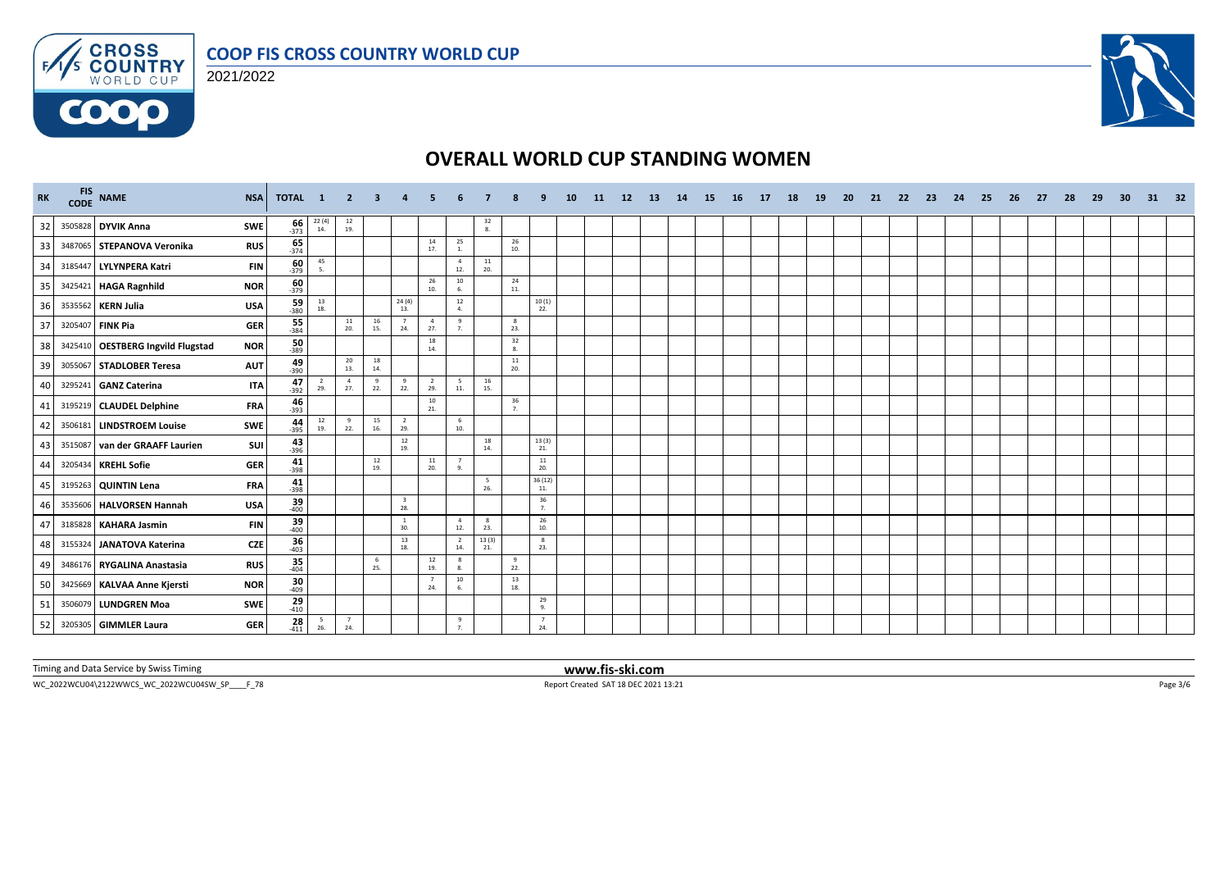



**COOO** 



# **OVERALL WORLD CUP STANDING WOMEN**

| <b>RK</b> | FIS<br>CODE | <b>NAME</b>                       | <b>NSA</b>                     | TOTAL 1                                                           | $\overline{2}$    | $\mathbf{3}$ |                                          |                       |                       |                                         |                                          |                        | 10 | -11 | 12 | <b>13</b> | 14 | <b>15</b> | 16 | 17 | 18 | <b>19</b> | <b>20</b> | 21 | -22 | 23 | 24 | 25 | 26 | 27 | 28 | 29 | 30 | 31 | -32 |
|-----------|-------------|-----------------------------------|--------------------------------|-------------------------------------------------------------------|-------------------|--------------|------------------------------------------|-----------------------|-----------------------|-----------------------------------------|------------------------------------------|------------------------|----|-----|----|-----------|----|-----------|----|----|----|-----------|-----------|----|-----|----|----|----|----|----|----|----|----|----|-----|
| 32        |             | 3505828 DYVIK Anna                | SWE                            | $\begin{array}{c} 22\ (4) \\ 14. \end{array}$<br>$\frac{66}{373}$ | $\frac{12}{19}$ . |              |                                          |                       |                       | $\begin{array}{c} 32 \\ 8. \end{array}$ |                                          |                        |    |     |    |           |    |           |    |    |    |           |           |    |     |    |    |    |    |    |    |    |    |    |     |
| 33        |             | 3487065 STEPANOVA Veronika        | <b>RUS</b>                     | $\frac{65}{374}$                                                  |                   |              |                                          | 14<br>17.             | 25<br>1.              |                                         | $\begin{array}{c} 26 \\ 10 \end{array}$  |                        |    |     |    |           |    |           |    |    |    |           |           |    |     |    |    |    |    |    |    |    |    |    |     |
| 34        |             | 3185447 LYLYNPERA Katri           | <b>FIN</b>                     | 45<br>$\frac{60}{379}$<br>5.                                      |                   |              |                                          |                       | $\overline{4}$<br>12. | ${\bf 11}$<br>20.                       |                                          |                        |    |     |    |           |    |           |    |    |    |           |           |    |     |    |    |    |    |    |    |    |    |    |     |
| 35        |             | 3425421 HAGA Ragnhild             | <b>NOR</b>                     | $\frac{60}{379}$                                                  |                   |              |                                          | 26<br>10.             | 10<br>6.              |                                         | 24<br>11.                                |                        |    |     |    |           |    |           |    |    |    |           |           |    |     |    |    |    |    |    |    |    |    |    |     |
| 36        |             | 3535562 KERN Julia                | $\frac{59}{380}$<br><b>USA</b> | $\begin{array}{c} 13 \\ 18. \end{array}$                          |                   |              | 24(4)<br>13.                             |                       | 12<br>4.              |                                         |                                          | 10(1)<br>22.           |    |     |    |           |    |           |    |    |    |           |           |    |     |    |    |    |    |    |    |    |    |    |     |
| 37        |             | 3205407 FINK Pia                  | $\frac{55}{384}$<br><b>GER</b> |                                                                   | 11<br>20.         | 16<br>15.    | $\overline{7}$<br>24.                    | $\overline{4}$<br>27. | 9<br>$\overline{7}$   |                                         | 8<br>23.                                 |                        |    |     |    |           |    |           |    |    |    |           |           |    |     |    |    |    |    |    |    |    |    |    |     |
| 38        |             | 3425410 OESTBERG Ingvild Flugstad | <b>NOR</b>                     | $\frac{50}{389}$                                                  |                   |              |                                          | 18<br>14.             |                       |                                         | 32<br>8.                                 |                        |    |     |    |           |    |           |    |    |    |           |           |    |     |    |    |    |    |    |    |    |    |    |     |
| 39        |             | 3055067 STADLOBER Teresa          | <b>AUT</b>                     | $49 - 390$                                                        | 20<br>13.         | 18<br>14.    |                                          |                       |                       |                                         | 11<br>20.                                |                        |    |     |    |           |    |           |    |    |    |           |           |    |     |    |    |    |    |    |    |    |    |    |     |
| 40        |             | 3295241 GANZ Caterina             | <b>ITA</b>                     | 47<br>$\overline{2}$<br>29.<br>$-392$                             | 4<br>27.          | 9<br>22.     | 9<br>22.                                 | $\overline{2}$<br>29. | 5<br>11.              | 16<br>15.                               |                                          |                        |    |     |    |           |    |           |    |    |    |           |           |    |     |    |    |    |    |    |    |    |    |    |     |
| 41        |             | 3195219 CLAUDEL Delphine          | <b>FRA</b><br>$-393$           | 46                                                                |                   |              |                                          | $10\,$<br>21.         |                       |                                         | $\frac{36}{7}$                           |                        |    |     |    |           |    |           |    |    |    |           |           |    |     |    |    |    |    |    |    |    |    |    |     |
| 42        |             | 3506181 LINDSTROEM Louise         | SWE                            | $\frac{44}{-395}$<br>12<br>19.                                    | 9<br>22.          | 15<br>16.    | $\overline{2}$<br>29.                    |                       | 6<br>10.              |                                         |                                          |                        |    |     |    |           |    |           |    |    |    |           |           |    |     |    |    |    |    |    |    |    |    |    |     |
| 43        |             | 3515087 van der GRAAFF Laurien    | $43 - 396$<br>SUI              |                                                                   |                   |              | $\begin{array}{c} 12 \\ 19. \end{array}$ |                       |                       | 18<br>14.                               |                                          | 13(3)<br>21.           |    |     |    |           |    |           |    |    |    |           |           |    |     |    |    |    |    |    |    |    |    |    |     |
| 44        |             | 3205434 KREHL Sofie               | $\frac{41}{398}$<br><b>GER</b> |                                                                   |                   | 12<br>19.    |                                          | 11<br>20.             | 7<br>9.               |                                         |                                          | 11<br>20.              |    |     |    |           |    |           |    |    |    |           |           |    |     |    |    |    |    |    |    |    |    |    |     |
| 45        |             | 3195263 QUINTIN Lena              | $41 - 398$<br><b>FRA</b>       |                                                                   |                   |              |                                          |                       |                       | - 5<br>26.                              |                                          | 36 (12)<br>11.         |    |     |    |           |    |           |    |    |    |           |           |    |     |    |    |    |    |    |    |    |    |    |     |
| 46        |             | 3535606 HALVORSEN Hannah          | <b>USA</b>                     | $39$<br>$-400$                                                    |                   |              | $\overline{\mathbf{3}}$<br>28.           |                       |                       |                                         |                                          | 36<br>$\overline{7}$ . |    |     |    |           |    |           |    |    |    |           |           |    |     |    |    |    |    |    |    |    |    |    |     |
| 47        |             | 3185828 KAHARA Jasmin             | <b>FIN</b>                     | $39$<br>$-400$                                                    |                   |              | $\overline{1}$<br>30.                    |                       | $\overline{4}$<br>12. | 8<br>23.                                |                                          | 26<br>10.              |    |     |    |           |    |           |    |    |    |           |           |    |     |    |    |    |    |    |    |    |    |    |     |
| 48        |             | 3155324 JANATOVA Katerina         | <b>CZE</b>                     | $36 \over 403$                                                    |                   |              | 13<br>18.                                |                       | $\overline{2}$<br>14. | 13(3)<br>21.                            |                                          | 8<br>23.               |    |     |    |           |    |           |    |    |    |           |           |    |     |    |    |    |    |    |    |    |    |    |     |
| 49        |             | 3486176 RYGALINA Anastasia        | <b>RUS</b>                     | 35<br>$-404$                                                      |                   | 6<br>25.     |                                          | 12<br>19.             | 8<br>8.               |                                         | 9<br>22.                                 |                        |    |     |    |           |    |           |    |    |    |           |           |    |     |    |    |    |    |    |    |    |    |    |     |
| 50        |             | 3425669 KALVAA Anne Kjersti       | <b>NOR</b>                     | $30 - 409$                                                        |                   |              |                                          | $\overline{7}$<br>24. | $10\,$                |                                         | $\begin{array}{c} 13 \\ 18. \end{array}$ |                        |    |     |    |           |    |           |    |    |    |           |           |    |     |    |    |    |    |    |    |    |    |    |     |
| 51        | 3506079     | <b>LUNDGREN Moa</b>               | SWE                            | $^{29}_{410}$                                                     |                   |              |                                          |                       |                       |                                         |                                          | 29<br>$\mathbf{q}$     |    |     |    |           |    |           |    |    |    |           |           |    |     |    |    |    |    |    |    |    |    |    |     |
| 52        |             | 3205305 GIMMLER Laura             | <b>GER</b>                     | $\frac{28}{411}$<br>$\sqrt{5}$<br>26.                             | 7<br>24.          |              |                                          |                       | 9                     |                                         |                                          | $\overline{7}$<br>24.  |    |     |    |           |    |           |    |    |    |           |           |    |     |    |    |    |    |    |    |    |    |    |     |

Timing and Data Service by Swiss Timing **www.fis-ski.com**

WC\_2022WCU04\2122WWCS\_WC\_2022WCU04SW\_SP\_\_\_\_F\_78 Report Created SAT 18 DEC 2021 13:21 Page 3/6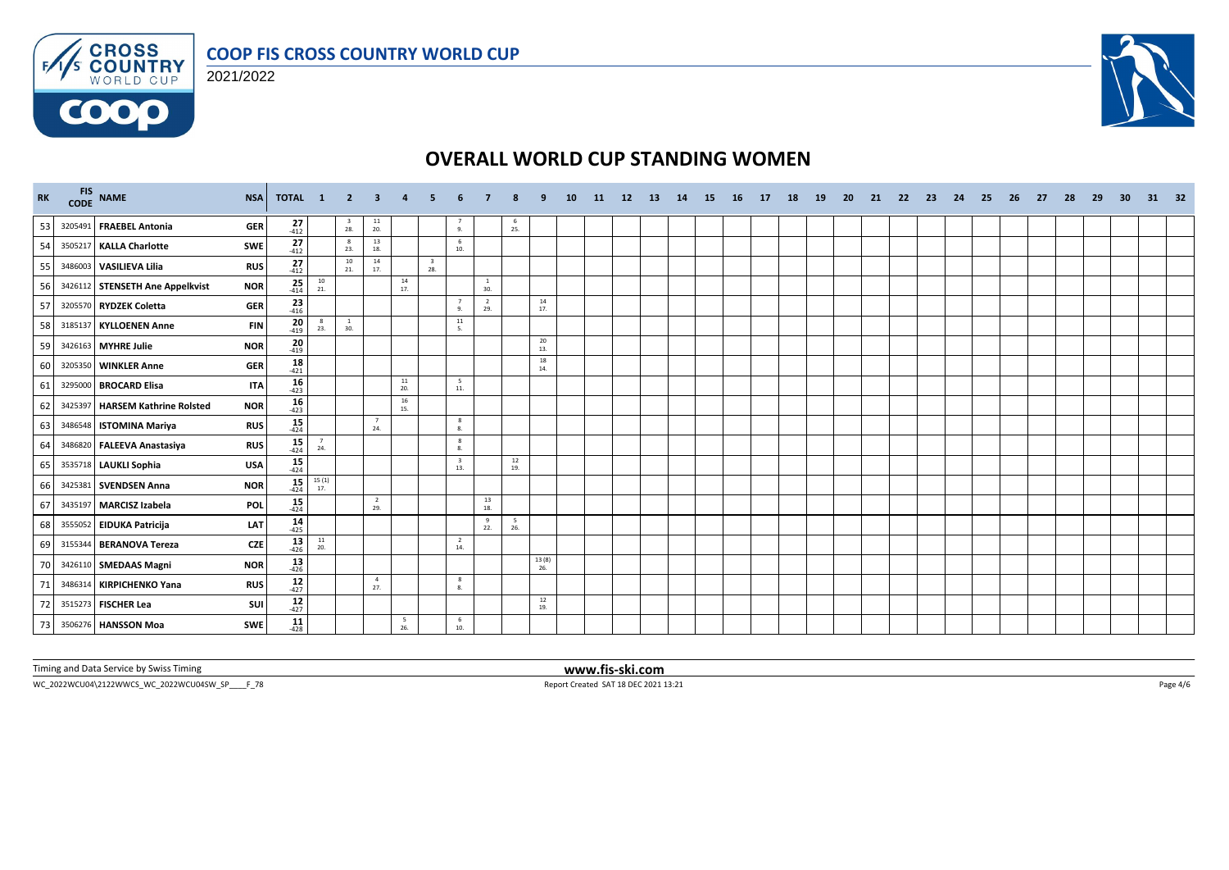





| RK |         | FIS NAME<br><b>NSA</b>                        | <b>TOTAL</b>                 | $\blacksquare$                           | - 2                            | 3                     |           |                                |                                |                                          |                                          |              | <b>10</b> | <b>11</b> | 12 | <b>13</b> | 14 | <b>15</b> | 16 | 17 | 18 | <b>19</b> | <b>20</b> | 21 | 22 | 23 | 24 | 25 | 26 | 27 | 28 | 29 | 30 | 31 | 32 |
|----|---------|-----------------------------------------------|------------------------------|------------------------------------------|--------------------------------|-----------------------|-----------|--------------------------------|--------------------------------|------------------------------------------|------------------------------------------|--------------|-----------|-----------|----|-----------|----|-----------|----|----|----|-----------|-----------|----|----|----|----|----|----|----|----|----|----|----|----|
| 53 |         | 3205491 FRAEBEL Antonia<br><b>GER</b>         | 27<br>$-412$                 |                                          | $\overline{\mathbf{3}}$<br>28. | $\frac{11}{20}$       |           |                                | 9.                             |                                          | - 6<br>25.                               |              |           |           |    |           |    |           |    |    |    |           |           |    |    |    |    |    |    |    |    |    |    |    |    |
| 54 |         | 3505217 KALLA Charlotte<br><b>SWE</b>         | $27_{412}$                   |                                          | $_{\rm 8}$<br>23.              | 13<br>18.             |           |                                | 6<br>10.                       |                                          |                                          |              |           |           |    |           |    |           |    |    |    |           |           |    |    |    |    |    |    |    |    |    |    |    |    |
| 55 |         | 3486003 VASILIEVA Lilia<br><b>RUS</b>         | $\frac{27}{412}$             |                                          | 10<br>21.                      | 14<br>17.             |           | $\overline{\mathbf{3}}$<br>28. |                                |                                          |                                          |              |           |           |    |           |    |           |    |    |    |           |           |    |    |    |    |    |    |    |    |    |    |    |    |
| 56 |         | 3426112 STENSETH Ane Appelkvist<br><b>NOR</b> | $25 - 414$                   | $\begin{array}{c} 10 \\ 21. \end{array}$ |                                |                       | 14<br>17. |                                |                                | $\mathbf{1}$<br>30.                      |                                          |              |           |           |    |           |    |           |    |    |    |           |           |    |    |    |    |    |    |    |    |    |    |    |    |
| 57 |         | 3205570 RYDZEK Coletta<br><b>GER</b>          | $\frac{23}{416}$             |                                          |                                |                       |           |                                | $\overline{7}$<br>9.           | $\overline{2}$<br>29.                    |                                          | 14<br>17.    |           |           |    |           |    |           |    |    |    |           |           |    |    |    |    |    |    |    |    |    |    |    |    |
| 58 |         | 3185137 KYLLOENEN Anne                        | 20<br><b>FIN</b><br>$-419$   | 8<br>23.                                 | $\overline{1}$<br>30.          |                       |           |                                | $11\,$<br>-5.                  |                                          |                                          |              |           |           |    |           |    |           |    |    |    |           |           |    |    |    |    |    |    |    |    |    |    |    |    |
| 59 |         | 3426163 MYHRE Julie<br><b>NOR</b>             | 20<br>$-419$                 |                                          |                                |                       |           |                                |                                |                                          |                                          | 20<br>13.    |           |           |    |           |    |           |    |    |    |           |           |    |    |    |    |    |    |    |    |    |    |    |    |
| 60 |         | 3205350 WINKLER Anne<br><b>GER</b>            | $18 - 421$                   |                                          |                                |                       |           |                                |                                |                                          |                                          | 18<br>14.    |           |           |    |           |    |           |    |    |    |           |           |    |    |    |    |    |    |    |    |    |    |    |    |
| 61 |         | 3295000 BROCARD Elisa                         | $16 \over 423$<br><b>ITA</b> |                                          |                                |                       | 11<br>20. |                                | $5\overline{5}$<br>$11.$       |                                          |                                          |              |           |           |    |           |    |           |    |    |    |           |           |    |    |    |    |    |    |    |    |    |    |    |    |
| 62 | 3425397 | <b>HARSEM Kathrine Rolsted</b><br><b>NOR</b>  | $16 - 423$                   |                                          |                                |                       | 16<br>15. |                                |                                |                                          |                                          |              |           |           |    |           |    |           |    |    |    |           |           |    |    |    |    |    |    |    |    |    |    |    |    |
| 63 |         | 3486548 ISTOMINA Mariya<br><b>RUS</b>         | $15 - 424$                   |                                          |                                | 24.                   |           |                                | 8<br>8.                        |                                          |                                          |              |           |           |    |           |    |           |    |    |    |           |           |    |    |    |    |    |    |    |    |    |    |    |    |
| 64 |         | 3486820 FALEEVA Anastasiya<br><b>RUS</b>      | $15$<br>$424$                | $\overline{7}$<br>24.                    |                                |                       |           |                                | 8<br>8.                        |                                          |                                          |              |           |           |    |           |    |           |    |    |    |           |           |    |    |    |    |    |    |    |    |    |    |    |    |
| 65 |         | 3535718 LAUKLI Sophia<br><b>USA</b>           | $15$ <sub>424</sub>          |                                          |                                |                       |           |                                | $\overline{\mathbf{3}}$<br>13. |                                          | $\begin{array}{c} 12 \\ 19. \end{array}$ |              |           |           |    |           |    |           |    |    |    |           |           |    |    |    |    |    |    |    |    |    |    |    |    |
| 66 |         | 3425381 SVENDSEN Anna<br><b>NOR</b>           | $15 - 424$                   | $\frac{15(1)}{17}$                       |                                |                       |           |                                |                                |                                          |                                          |              |           |           |    |           |    |           |    |    |    |           |           |    |    |    |    |    |    |    |    |    |    |    |    |
| 67 |         | 3435197 MARCISZ Izabela<br><b>POL</b>         | $15$ <sub>424</sub>          |                                          |                                | $\overline{2}$<br>29. |           |                                |                                | $\begin{array}{c} 13 \\ 18. \end{array}$ |                                          |              |           |           |    |           |    |           |    |    |    |           |           |    |    |    |    |    |    |    |    |    |    |    |    |
| 68 |         | 3555052 EIDUKA Patricija<br>LAT               | $14 \over 425$               |                                          |                                |                       |           |                                |                                | 9<br>22.                                 | - 5<br>26.                               |              |           |           |    |           |    |           |    |    |    |           |           |    |    |    |    |    |    |    |    |    |    |    |    |
| 69 |         | 3155344 BERANOVA Tereza                       | $13 - 426$<br><b>CZE</b>     | $\frac{11}{20}$                          |                                |                       |           |                                | $\overline{2}$<br>14.          |                                          |                                          |              |           |           |    |           |    |           |    |    |    |           |           |    |    |    |    |    |    |    |    |    |    |    |    |
| 70 |         | <b>NOR</b><br>3426110 SMEDAAS Magni           | $13 \atop 426$               |                                          |                                |                       |           |                                |                                |                                          |                                          | 13(8)<br>26. |           |           |    |           |    |           |    |    |    |           |           |    |    |    |    |    |    |    |    |    |    |    |    |
| 71 |         | 3486314 KIRPICHENKO Yana<br><b>RUS</b>        | $12$<br>$427$                |                                          |                                | $\overline{4}$<br>27. |           |                                | 8<br>8.                        |                                          |                                          |              |           |           |    |           |    |           |    |    |    |           |           |    |    |    |    |    |    |    |    |    |    |    |    |
| 72 |         | 3515273 FISCHER Lea                           | $12$<br>$427$<br>SUI         |                                          |                                |                       |           |                                |                                |                                          |                                          | 12<br>19.    |           |           |    |           |    |           |    |    |    |           |           |    |    |    |    |    |    |    |    |    |    |    |    |
| 73 |         | 3506276 HANSSON Moa<br>SWE                    | $11$<br>$428$                |                                          |                                |                       | 5<br>26.  |                                | 6<br>10.                       |                                          |                                          |              |           |           |    |           |    |           |    |    |    |           |           |    |    |    |    |    |    |    |    |    |    |    |    |

Timing and Data Service by Swiss Timing **www.fis-ski.com**

WC\_2022WCU04\2122WWCS\_WC\_2022WCU04SW\_SP\_\_\_\_F\_78 Report Created SAT 18 DEC 2021 13:21 Page 4/6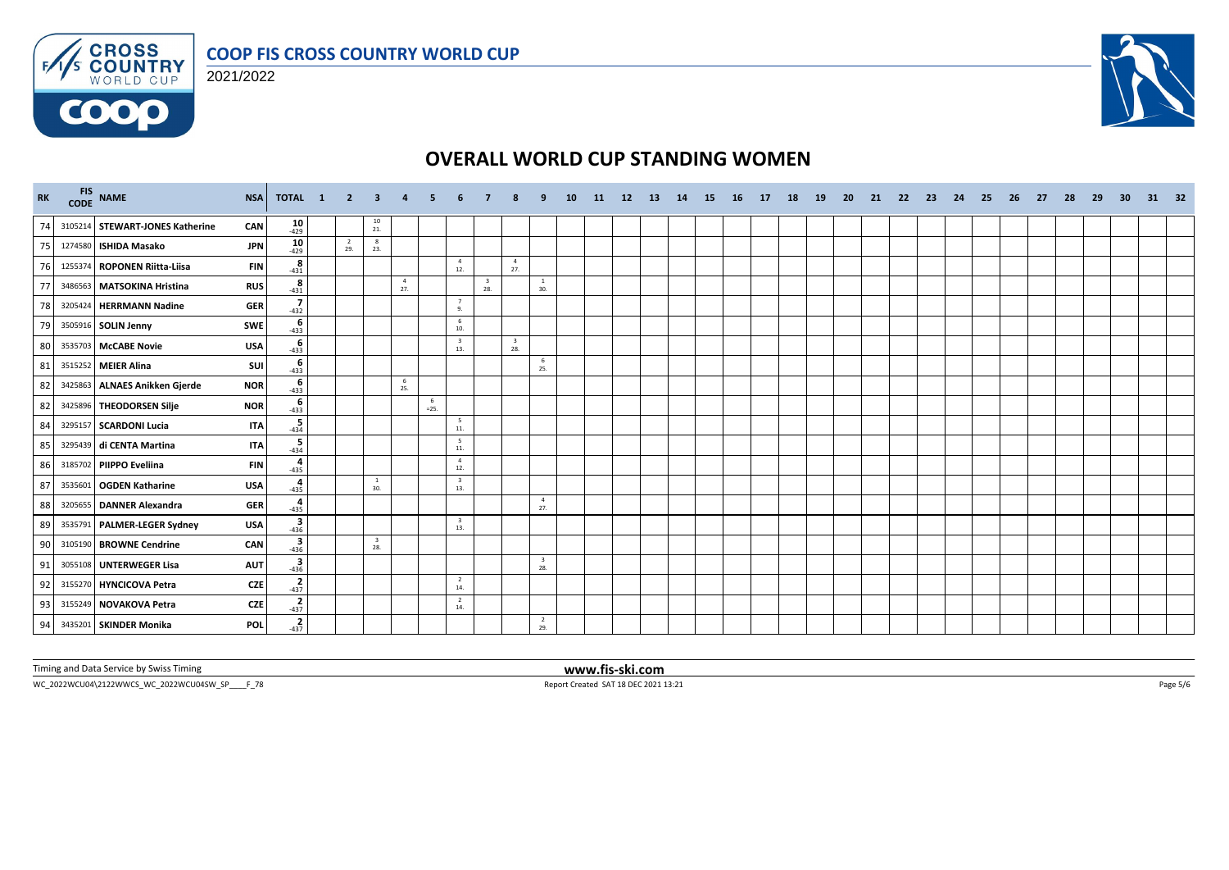





| RK | FIS NAME<br>CODE NAME           | <b>NSA</b> | TOTAL 1 2                                                                         |                       | $\mathbf{3}$ | $\overline{a}$        | -5          |                                |                                |                                |                                | <b>10</b> | <b>11</b> | 12 | -13 | 14 | - 15 | <b>16</b> | 17 | 18 | 19 | -20 | 21 | 22 | - 23 | -24 | - 25 | -26 | 27 | - 28 | -29 | -30 | 31 | - 32 |
|----|---------------------------------|------------|-----------------------------------------------------------------------------------|-----------------------|--------------|-----------------------|-------------|--------------------------------|--------------------------------|--------------------------------|--------------------------------|-----------|-----------|----|-----|----|------|-----------|----|----|----|-----|----|----|------|-----|------|-----|----|------|-----|-----|----|------|
| 74 | 3105214 STEWART-JONES Katherine | CAN        | $10^{429}$                                                                        |                       | 10<br>21.    |                       |             |                                |                                |                                |                                |           |           |    |     |    |      |           |    |    |    |     |    |    |      |     |      |     |    |      |     |     |    |      |
| 75 | 1274580 ISHIDA Masako           | <b>JPN</b> | $10 - 429$                                                                        | $\overline{2}$<br>29. | 8<br>23.     |                       |             |                                |                                |                                |                                |           |           |    |     |    |      |           |    |    |    |     |    |    |      |     |      |     |    |      |     |     |    |      |
| 76 | 1255374 ROPONEN Riitta-Liisa    | <b>FIN</b> | 8<br>$-431$                                                                       |                       |              |                       |             | $\overline{4}$<br>12.          |                                | $\overline{4}$<br>27.          |                                |           |           |    |     |    |      |           |    |    |    |     |    |    |      |     |      |     |    |      |     |     |    |      |
| 77 | 3486563 MATSOKINA Hristina      | <b>RUS</b> | 8<br>$-431$                                                                       |                       |              | $\overline{4}$<br>27. |             |                                | $\overline{\mathbf{3}}$<br>28. |                                | <sup>1</sup><br>30.            |           |           |    |     |    |      |           |    |    |    |     |    |    |      |     |      |     |    |      |     |     |    |      |
| 78 | 3205424 HERRMANN Nadine         | <b>GER</b> | $-432$                                                                            |                       |              |                       |             | $\overline{7}$<br>9.           |                                |                                |                                |           |           |    |     |    |      |           |    |    |    |     |    |    |      |     |      |     |    |      |     |     |    |      |
| 79 | 3505916 SOLIN Jenny             | SWE        | $\begin{array}{c}\n6 \\ 433\n\end{array}$                                         |                       |              |                       |             | 6<br>10.                       |                                |                                |                                |           |           |    |     |    |      |           |    |    |    |     |    |    |      |     |      |     |    |      |     |     |    |      |
| 80 | 3535703 McCABE Novie            | <b>USA</b> | 6<br>$-433$                                                                       |                       |              |                       |             | $\overline{\mathbf{3}}$<br>13. |                                | $\overline{\mathbf{3}}$<br>28. |                                |           |           |    |     |    |      |           |    |    |    |     |    |    |      |     |      |     |    |      |     |     |    |      |
| 81 | 3515252 MEIER Alina             | <b>SUI</b> | $-433$                                                                            |                       |              |                       |             |                                |                                |                                | 6<br>25.                       |           |           |    |     |    |      |           |    |    |    |     |    |    |      |     |      |     |    |      |     |     |    |      |
| 82 | 3425863 ALNAES Anikken Gjerde   | <b>NOR</b> | $-433$                                                                            |                       |              | 6<br>25.              |             |                                |                                |                                |                                |           |           |    |     |    |      |           |    |    |    |     |    |    |      |     |      |     |    |      |     |     |    |      |
| 82 | 3425896 THEODORSEN Silje        | <b>NOR</b> | $-433$                                                                            |                       |              |                       | 6<br>$=25.$ |                                |                                |                                |                                |           |           |    |     |    |      |           |    |    |    |     |    |    |      |     |      |     |    |      |     |     |    |      |
| 84 | 3295157 SCARDONI Lucia          | <b>ITA</b> | $-434$                                                                            |                       |              |                       |             | $5\overline{5}$<br>$11.$       |                                |                                |                                |           |           |    |     |    |      |           |    |    |    |     |    |    |      |     |      |     |    |      |     |     |    |      |
| 85 | 3295439 di CENTA Martina        | <b>ITA</b> | $-434$                                                                            |                       |              |                       |             | $5\overline{5}$<br>11.         |                                |                                |                                |           |           |    |     |    |      |           |    |    |    |     |    |    |      |     |      |     |    |      |     |     |    |      |
| 86 | 3185702 PIIPPO Eveliina         | <b>FIN</b> | $\frac{4}{-435}$                                                                  |                       |              |                       |             | $\overline{4}$<br>12.          |                                |                                |                                |           |           |    |     |    |      |           |    |    |    |     |    |    |      |     |      |     |    |      |     |     |    |      |
| 87 | 3535601   OGDEN Katharine       | <b>USA</b> | $-435$                                                                            |                       | -1<br>30.    |                       |             | $\overline{\mathbf{3}}$<br>13. |                                |                                |                                |           |           |    |     |    |      |           |    |    |    |     |    |    |      |     |      |     |    |      |     |     |    |      |
| 88 | 3205655 DANNER Alexandra        | <b>GER</b> | $rac{4}{435}$                                                                     |                       |              |                       |             |                                |                                |                                | $\overline{4}$<br>27.          |           |           |    |     |    |      |           |    |    |    |     |    |    |      |     |      |     |    |      |     |     |    |      |
| 89 | 3535791 PALMER-LEGER Sydney     | <b>USA</b> | $\begin{array}{c}\n\overline{\mathbf{3}} \\ \overline{\mathbf{436}}\n\end{array}$ |                       |              |                       |             | $\overline{\mathbf{3}}$<br>13. |                                |                                |                                |           |           |    |     |    |      |           |    |    |    |     |    |    |      |     |      |     |    |      |     |     |    |      |
| 90 | 3105190 BROWNE Cendrine         | CAN        | $-436$                                                                            |                       | - 3<br>28.   |                       |             |                                |                                |                                |                                |           |           |    |     |    |      |           |    |    |    |     |    |    |      |     |      |     |    |      |     |     |    |      |
| 91 | 3055108 UNTERWEGER Lisa         | <b>AUT</b> | $\begin{array}{c}\n\overline{\mathbf{3}} \\ \overline{\mathbf{436}}\n\end{array}$ |                       |              |                       |             |                                |                                |                                | $\overline{\mathbf{3}}$<br>28. |           |           |    |     |    |      |           |    |    |    |     |    |    |      |     |      |     |    |      |     |     |    |      |
| 92 | 3155270 HYNCICOVA Petra         | <b>CZE</b> | $rac{2}{437}$                                                                     |                       |              |                       |             | $\overline{2}$<br>14.          |                                |                                |                                |           |           |    |     |    |      |           |    |    |    |     |    |    |      |     |      |     |    |      |     |     |    |      |
| 93 | 3155249 NOVAKOVA Petra          | <b>CZE</b> | $\frac{2}{-437}$                                                                  |                       |              |                       |             | 2<br>14.                       |                                |                                |                                |           |           |    |     |    |      |           |    |    |    |     |    |    |      |     |      |     |    |      |     |     |    |      |
| 94 | 3435201 SKINDER Monika          | <b>POL</b> | $-437$                                                                            |                       |              |                       |             |                                |                                |                                | $\overline{2}$<br>29.          |           |           |    |     |    |      |           |    |    |    |     |    |    |      |     |      |     |    |      |     |     |    |      |

Timing and Data Service by Swiss Timing **www.fis-ski.com**

WC\_2022WCU04\2122WWCS\_WC\_2022WCU04SW\_SP\_\_\_\_F\_78 Report Created SAT 18 DEC 2021 13:21 Page 5/6